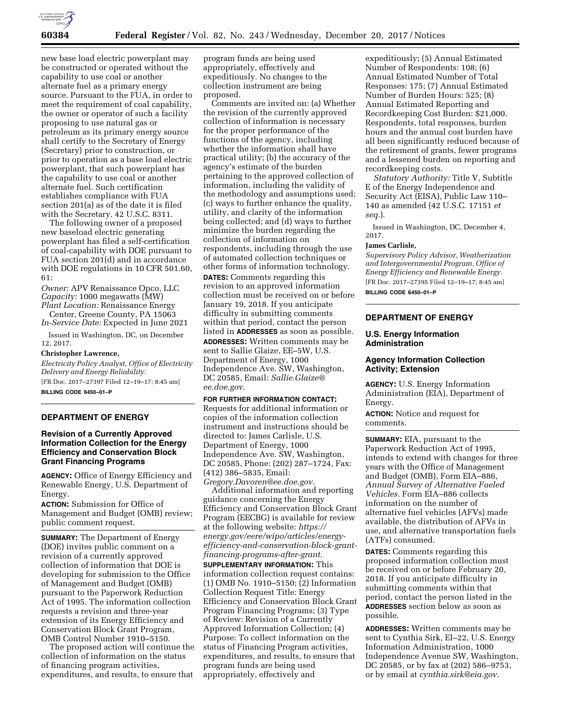

new base load electric powerplant may be constructed or operated without the capability to use coal or another alternate fuel as a primary energy source. Pursuant to the FUA, in order to meet the requirement of coal capability, the owner or operator of such a facility proposing to use natural gas or petroleum as its primary energy source shall certify to the Secretary of Energy (Secretary) prior to construction, or prior to operation as a base load electric powerplant, that such powerplant has the capability to use coal or another alternate fuel. Such certification establishes compliance with FUA section 201(a) as of the date it is filed with the Secretary. 42 U.S.C. 8311.

The following owner of a proposed new baseload electric generating powerplant has filed a self-certification of coal-capability with DOE pursuant to FUA section 201(d) and in accordance with DOE regulations in 10 CFR 501.60, 61:

*Owner:* APV Renaissance Opco, LLC *Capacity:* 1000 megawatts (MW) *Plant Location:* Renaissance Energy

Center, Greene County, PA 15063 *In-Service Date:* Expected in June 2021

Issued in Washington, DC, on December 12, 2017.

#### **Christopher Lawrence,**

*Electricity Policy Analyst, Office of Electricity Delivery and Energy Reliability.*  [FR Doc. 2017–27397 Filed 12–19–17; 8:45 am]

**BILLING CODE 6450–01–P** 

## **DEPARTMENT OF ENERGY**

# **Revision of a Currently Approved Information Collection for the Energy Efficiency and Conservation Block Grant Financing Programs**

**AGENCY:** Office of Energy Efficiency and Renewable Energy, U.S. Department of Energy.

**ACTION:** Submission for Office of Management and Budget (OMB) review; public comment request.

**SUMMARY:** The Department of Energy (DOE) invites public comment on a revision of a currently approved collection of information that DOE is developing for submission to the Office of Management and Budget (OMB) pursuant to the Paperwork Reduction Act of 1995. The information collection requests a revision and three-year extension of its Energy Efficiency and Conservation Block Grant Program, OMB Control Number 1910–5150.

The proposed action will continue the collection of information on the status of financing program activities, expenditures, and results, to ensure that

program funds are being used appropriately, effectively and expeditiously. No changes to the collection instrument are being proposed.

Comments are invited on: (a) Whether the revision of the currently approved collection of information is necessary for the proper performance of the functions of the agency, including whether the information shall have practical utility; (b) the accuracy of the agency's estimate of the burden pertaining to the approved collection of information, including the validity of the methodology and assumptions used; (c) ways to further enhance the quality, utility, and clarity of the information being collected; and (d) ways to further minimize the burden regarding the collection of information on respondents, including through the use of automated collection techniques or other forms of information technology.

**DATES:** Comments regarding this revision to an approved information collection must be received on or before January 19, 2018. If you anticipate difficulty in submitting comments within that period, contact the person listed in **ADDRESSES** as soon as possible.

**ADDRESSES:** Written comments may be sent to Sallie Glaize, EE–5W, U.S. Department of Energy, 1000 Independence Ave. SW, Washington, DC 20585, Email: *[Sallie.Glaize@](mailto:Sallie.Glaize@ee.doe.gov) [ee.doe.gov.](mailto:Sallie.Glaize@ee.doe.gov)* 

**FOR FURTHER INFORMATION CONTACT:**  Requests for additional information or copies of the information collection instrument and instructions should be directed to: James Carlisle, U.S. Department of Energy, 1000 Independence Ave. SW, Washington, DC 20585, Phone: (202) 287–1724, Fax: (412) 386–5835, Email:

*[Gregory.Davoren@ee.doe.gov.](mailto:Gregory.Davoren@ee.doe.gov)*  Additional information and reporting guidance concerning the Energy Efficiency and Conservation Block Grant Program (EECBG) is available for review at the following website: *[https://](https://energy.gov/eere/wipo/articles/energy-efficiency-and-conservation-block-grant-financing-programs-after-grant) [energy.gov/eere/wipo/articles/energy](https://energy.gov/eere/wipo/articles/energy-efficiency-and-conservation-block-grant-financing-programs-after-grant)[efficiency-and-conservation-block-grant](https://energy.gov/eere/wipo/articles/energy-efficiency-and-conservation-block-grant-financing-programs-after-grant)[financing-programs-after-grant.](https://energy.gov/eere/wipo/articles/energy-efficiency-and-conservation-block-grant-financing-programs-after-grant)* 

**SUPPLEMENTARY INFORMATION:** This information collection request contains: (1) OMB No. 1910–5150; (2) Information Collection Request Title: Energy Efficiency and Conservation Block Grant Program Financing Programs; (3) Type of Review: Revision of a Currently Approved Information Collection; (4) Purpose: To collect information on the status of Financing Program activities, expenditures, and results, to ensure that program funds are being used appropriately, effectively and

expeditiously; (5) Annual Estimated Number of Respondents: 108; (6) Annual Estimated Number of Total Responses: 175; (7) Annual Estimated Number of Burden Hours: 525; (8) Annual Estimated Reporting and Recordkeeping Cost Burden: \$21,000. Respondents, total responses, burden hours and the annual cost burden have all been significantly reduced because of the retirement of grants, fewer programs and a lessened burden on reporting and recordkeeping costs.

*Statutory Authority:* Title V, Subtitle E of the Energy Independence and Security Act (EISA), Public Law 110– 140 as amended (42 U.S.C. 17151 *et seq.*).

Issued in Washington, DC, December 4, 2017.

#### **James Carlisle,**

*Supervisory Policy Advisor, Weatherization and Intergovernmental Program, Office of Energy Efficiency and Renewable Energy.*  [FR Doc. 2017–27395 Filed 12–19–17; 8:45 am]

**BILLING CODE 6450–01–P** 

### **DEPARTMENT OF ENERGY**

### **U.S. Energy Information Administration**

### **Agency Information Collection Activity; Extension**

**AGENCY:** U.S. Energy Information Administration (EIA), Department of Energy.

**ACTION:** Notice and request for comments.

**SUMMARY:** EIA, pursuant to the Paperwork Reduction Act of 1995, intends to extend with changes for three years with the Office of Management and Budget (OMB), Form EIA–886, *Annual Survey of Alternative Fueled Vehicles.* Form EIA–886 collects information on the number of alternative fuel vehicles (AFVs) made available, the distribution of AFVs in use, and alternative transportation fuels (ATFs) consumed.

**DATES:** Comments regarding this proposed information collection must be received on or before February 20, 2018. If you anticipate difficulty in submitting comments within that period, contact the person listed in the **ADDRESSES** section below as soon as possible.

**ADDRESSES:** Written comments may be sent to Cynthia Sirk, EI–22, U.S. Energy Information Administration, 1000 Independence Avenue SW, Washington, DC 20585, or by fax at (202) 586–9753, or by email at *[cynthia.sirk@eia.gov.](mailto:cynthia.sirk@eia.gov)*